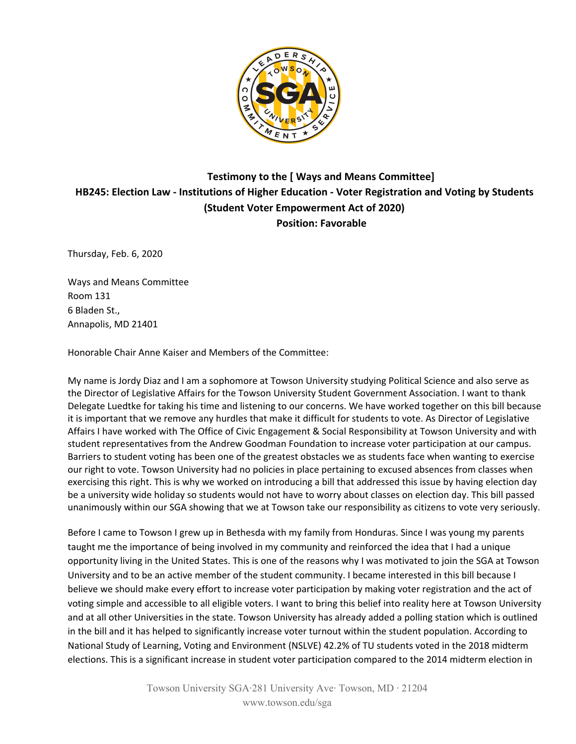

## **Testimony to the [ Ways and Means Committee] HB245: Election Law - Institutions of Higher Education - Voter Registration and Voting by Students (Student Voter Empowerment Act of 2020) Position: Favorable**

Thursday, Feb. 6, 2020

Ways and Means Committee Room 131 6 Bladen St., Annapolis, MD 21401

Honorable Chair Anne Kaiser and Members of the Committee:

My name is Jordy Diaz and I am a sophomore at Towson University studying Political Science and also serve as the Director of Legislative Affairs for the Towson University Student Government Association. I want to thank Delegate Luedtke for taking his time and listening to our concerns. We have worked together on this bill because it is important that we remove any hurdles that make it difficult for students to vote. As Director of Legislative Affairs I have worked with The Office of Civic Engagement & Social Responsibility at Towson University and with student representatives from the Andrew Goodman Foundation to increase voter participation at our campus. Barriers to student voting has been one of the greatest obstacles we as students face when wanting to exercise our right to vote. Towson University had no policies in place pertaining to excused absences from classes when exercising this right. This is why we worked on introducing a bill that addressed this issue by having election day be a university wide holiday so students would not have to worry about classes on election day. This bill passed unanimously within our SGA showing that we at Towson take our responsibility as citizens to vote very seriously.

Before I came to Towson I grew up in Bethesda with my family from Honduras. Since I was young my parents taught me the importance of being involved in my community and reinforced the idea that I had a unique opportunity living in the United States. This is one of the reasons why I was motivated to join the SGA at Towson University and to be an active member of the student community. I became interested in this bill because I believe we should make every effort to increase voter participation by making voter registration and the act of voting simple and accessible to all eligible voters. I want to bring this belief into reality here at Towson University and at all other Universities in the state. Towson University has already added a polling station which is outlined in the bill and it has helped to significantly increase voter turnout within the student population. According to National Study of Learning, Voting and Environment (NSLVE) 42.2% of TU students voted in the 2018 midterm elections. This is a significant increase in student voter participation compared to the 2014 midterm election in